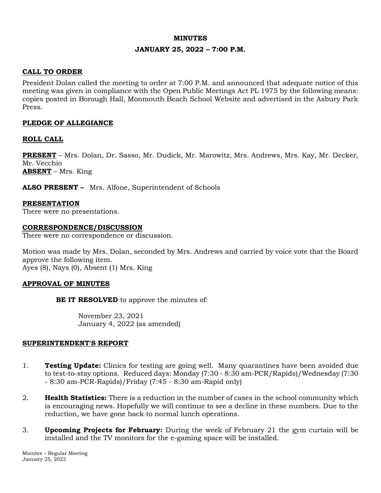#### **MINUTES**

### **JANUARY 25, 2022 – 7:00 P.M.**

## **CALL TO ORDER**

President Dolan called the meeting to order at 7:00 P.M. and announced that adequate notice of this meeting was given in compliance with the Open Public Meetings Act PL 1975 by the following means: copies posted in Borough Hall, Monmouth Beach School Website and advertised in the Asbury Park Press.

### **PLEDGE OF ALLEGIANCE**

### **ROLL CALL**

**PRESENT** – Mrs. Dolan, Dr. Sasso, Mr. Dudick, Mr. Marowitz, Mrs. Andrews, Mrs. Kay, Mr. Decker, Mr. Vecchio **ABSENT** – Mrs. King

**ALSO PRESENT –** Mrs. Alfone, Superintendent of Schools

# **PRESENTATION**

There were no presentations.

#### **CORRESPONDENCE/DISCUSSION**

There were no correspondence or discussion.

Motion was made by Mrs. Dolan, seconded by Mrs. Andrews and carried by voice vote that the Board approve the following item. Ayes (8), Nays (0), Absent (1) Mrs. King

#### **APPROVAL OF MINUTES**

**BE IT RESOLVED** to approve the minutes of:

November 23, 2021 January 4, 2022 (as amended)

#### **SUPERINTENDENT'S REPORT**

- 1. **Testing Update:** Clinics for testing are going well. Many quarantines have been avoided due to test-to-stay options. Reduced days: Monday (7:30 - 8:30 am-PCR/Rapids)/Wednesday (7:30 - 8:30 am-PCR-Rapids)/Friday (7:45 - 8:30 am-Rapid only)
- 2. **Health Statistics:** There is a reduction in the number of cases in the school community which is encouraging news. Hopefully we will continue to see a decline in these numbers. Due to the reduction, we have gone back to normal lunch operations.
- 3. **Upcoming Projects for February:** During the week of February 21 the gym curtain will be installed and the TV monitors for the e-gaming space will be installed.

Minutes – Regular Meeting January 25, 2022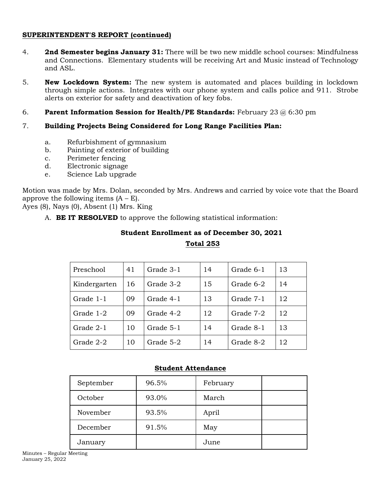### **SUPERINTENDENT'S REPORT (continued)**

- 4. **2nd Semester begins January 31:** There will be two new middle school courses: Mindfulness and Connections. Elementary students will be receiving Art and Music instead of Technology and ASL.
- 5. **New Lockdown System:** The new system is automated and places building in lockdown through simple actions. Integrates with our phone system and calls police and 911. Strobe alerts on exterior for safety and deactivation of key fobs.
- 6. **Parent Information Session for Health/PE Standards:** February 23 @ 6:30 pm

## 7. **Building Projects Being Considered for Long Range Facilities Plan:**

- a. Refurbishment of gymnasium
- b. Painting of exterior of building
- c. Perimeter fencing
- d. Electronic signage
- e. Science Lab upgrade

Motion was made by Mrs. Dolan, seconded by Mrs. Andrews and carried by voice vote that the Board approve the following items  $(A - E)$ .

Ayes (8), Nays (0), Absent (1) Mrs. King

A. **BE IT RESOLVED** to approve the following statistical information:

# **Student Enrollment as of December 30, 2021**

**Total 253**

| Preschool          | 41 | Grade 3-1 | 14              | Grade 6-1 | 13 |
|--------------------|----|-----------|-----------------|-----------|----|
| Kindergarten<br>16 |    | Grade 3-2 | 15<br>Grade 6-2 |           | 14 |
| Grade 1-1<br>09    |    | Grade 4-1 | 13              | Grade 7-1 | 12 |
| Grade 1-2          | 09 | Grade 4-2 | 12              | Grade 7-2 | 12 |
| Grade 2-1          | 10 | Grade 5-1 | 14              | Grade 8-1 | 13 |
| Grade 2-2          | 10 | Grade 5-2 | 14              | Grade 8-2 | 12 |

## **Student Attendance**

| September | 96.5% | February |  |
|-----------|-------|----------|--|
| October   | 93.0% | March    |  |
| November  | 93.5% | April    |  |
| December  | 91.5% | May      |  |
| January   |       | June     |  |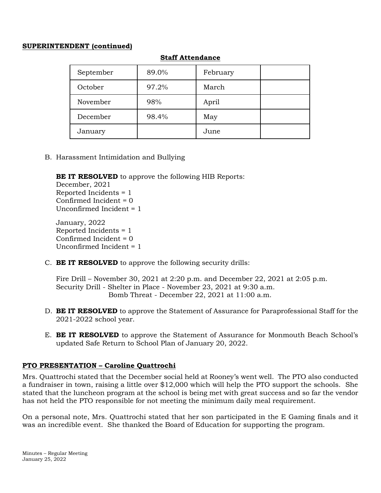### **SUPERINTENDENT (continued)**

| September | 89.0% | February |  |
|-----------|-------|----------|--|
| October   | 97.2% | March    |  |
| November  | 98%   | April    |  |
| December  | 98.4% | May      |  |
| January   |       | June     |  |

### **Staff Attendance**

B. Harassment Intimidation and Bullying

**BE IT RESOLVED** to approve the following HIB Reports:

December, 2021 Reported Incidents = 1 Confirmed Incident = 0 Unconfirmed Incident = 1

January, 2022 Reported Incidents = 1 Confirmed Incident = 0 Unconfirmed Incident = 1

C. **BE IT RESOLVED** to approve the following security drills:

Fire Drill – November 30, 2021 at 2:20 p.m. and December 22, 2021 at 2:05 p.m. Security Drill - Shelter in Place - November 23, 2021 at 9:30 a.m. Bomb Threat - December 22, 2021 at 11:00 a.m.

- D. **BE IT RESOLVED** to approve the Statement of Assurance for Paraprofessional Staff for the 2021-2022 school year.
- E. **BE IT RESOLVED** to approve the Statement of Assurance for Monmouth Beach School's updated Safe Return to School Plan of January 20, 2022.

## **PTO PRESENTATION – Caroline Quattrochi**

Mrs. Quattrochi stated that the December social held at Rooney's went well. The PTO also conducted a fundraiser in town, raising a little over \$12,000 which will help the PTO support the schools. She stated that the luncheon program at the school is being met with great success and so far the vendor has not held the PTO responsible for not meeting the minimum daily meal requirement.

On a personal note, Mrs. Quattrochi stated that her son participated in the E Gaming finals and it was an incredible event. She thanked the Board of Education for supporting the program.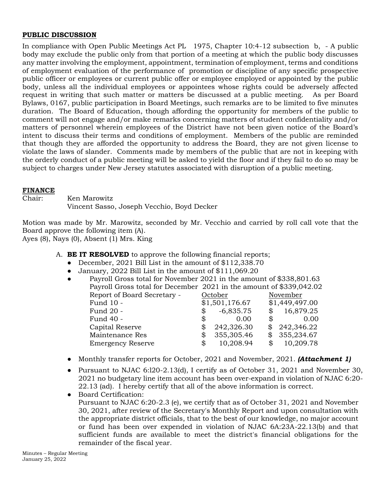### **PUBLIC DISCUSSION**

In compliance with Open Public Meetings Act PL 1975, Chapter 10:4-12 subsection b, - A public body may exclude the public only from that portion of a meeting at which the public body discusses any matter involving the employment, appointment, termination of employment, terms and conditions of employment evaluation of the performance of promotion or discipline of any specific prospective public officer or employees or current public offer or employee employed or appointed by the public body, unless all the individual employees or appointees whose rights could be adversely affected request in writing that such matter or matters be discussed at a public meeting. As per Board Bylaws, 0167, public participation in Board Meetings, such remarks are to be limited to five minutes duration. The Board of Education, though affording the opportunity for members of the public to comment will not engage and/or make remarks concerning matters of student confidentiality and/or matters of personnel wherein employees of the District have not been given notice of the Board's intent to discuss their terms and conditions of employment. Members of the public are reminded that though they are afforded the opportunity to address the Board, they are not given license to violate the laws of slander. Comments made by members of the public that are not in keeping with the orderly conduct of a public meeting will be asked to yield the floor and if they fail to do so may be subject to charges under New Jersey statutes associated with disruption of a public meeting.

### **FINANCE**

Chair: Ken Marowitz Vincent Sasso, Joseph Vecchio, Boyd Decker

Motion was made by Mr. Marowitz, seconded by Mr. Vecchio and carried by roll call vote that the Board approve the following item (A).

Ayes (8), Nays (0), Absent (1) Mrs. King

- A. **BE IT RESOLVED** to approve the following financial reports;
	- December, 2021 Bill List in the amount of \$112,338.70
	- January, 2022 Bill List in the amount of \$111,069.20

| $\bullet$ | Payroll Gross total for November 2021 in the amount of \$338,801.63 |    |                                                                     |    |                |  |  |  |  |
|-----------|---------------------------------------------------------------------|----|---------------------------------------------------------------------|----|----------------|--|--|--|--|
|           |                                                                     |    | Payroll Gross total for December 2021 in the amount of \$339,042.02 |    |                |  |  |  |  |
|           | Report of Board Secretary -                                         |    | October                                                             |    | November       |  |  |  |  |
|           | Fund 10 -                                                           |    | \$1,501,176.67                                                      |    | \$1,449,497.00 |  |  |  |  |
|           | Fund 20 -                                                           | \$ | $-6,835.75$                                                         | \$ | 16,879.25      |  |  |  |  |
|           | Fund 40 -                                                           | \$ | 0.00                                                                |    | 0.00           |  |  |  |  |
|           | Capital Reserve                                                     | \$ | 242,326.30                                                          |    | 242,346.22     |  |  |  |  |
|           | Maintenance Res                                                     | \$ | 355,305.46                                                          |    | 355,234.67     |  |  |  |  |
|           | <b>Emergency Reserve</b>                                            | \$ | 10,208.94                                                           |    | 10,209.78      |  |  |  |  |
|           |                                                                     |    |                                                                     |    |                |  |  |  |  |

- Monthly transfer reports for October, 2021 and November, 2021. *(Attachment 1)*
- Pursuant to NJAC 6:l20-2.13(d), I certify as of October 31, 2021 and November 30, 2021 no budgetary line item account has been over-expand in violation of NJAC 6:20- 22.13 (ad). I hereby certify that all of the above information is correct.
- Board Certification: Pursuant to NJAC 6:20-2.3 (e), we certify that as of October 31, 2021 and November 30, 2021, after review of the Secretary's Monthly Report and upon consultation with the appropriate district officials, that to the best of our knowledge, no major account or fund has been over expended in violation of NJAC 6A:23A-22.13(b) and that sufficient funds are available to meet the district's financial obligations for the remainder of the fiscal year.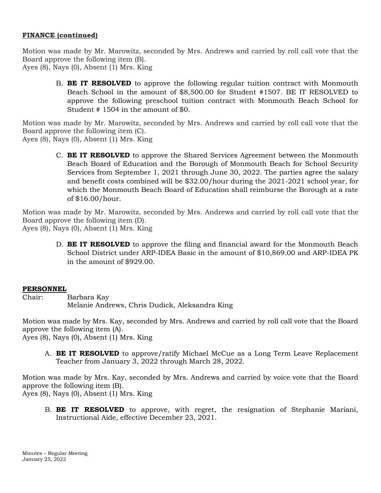### **FINANCE (continued)**

Motion was made by Mr. Marowitz, seconded by Mrs. Andrews and carried by roll call vote that the Board approve the following item (B). Ayes (8), Nays (0), Absent (1) Mrs. King

B. **BE IT RESOLVED** to approve the following regular tuition contract with Monmouth Beach School in the amount of \$8,500.00 for Student #1507. BE IT RESOLVED to approve the following preschool tuition contract with Monmouth Beach School for Student # 1504 in the amount of \$0.

Motion was made by Mr. Marowitz, seconded by Mrs. Andrews and carried by roll call vote that the Board approve the following item (C). Ayes (8), Nays (0), Absent (1) Mrs. King

C. **BE IT RESOLVED** to approve the Shared Services Agreement between the Monmouth Beach Board of Education and the Borough of Monmouth Beach for School Security Services from September 1, 2021 through June 30, 2022. The parties agree the salary and benefit costs combined will be \$32.00/hour during the 2021-2021 school year, for which the Monmouth Beach Board of Education shall reimburse the Borough at a rate of \$16.00/hour.

Motion was made by Mr. Marowitz, seconded by Mrs. Andrews and carried by roll call vote that the Board approve the following item (D). Ayes (8), Nays (0), Absent (1) Mrs. King

D. **BE IT RESOLVED** to approve the filing and financial award for the Monmouth Beach School District under ARP-IDEA Basic in the amount of \$10,869.00 and ARP-IDEA PK in the amount of \$929.00.

#### **PERSONNEL**

Chair: Barbara Kay Melanie Andrews, Chris Dudick, Aleksandra King

Motion was made by Mrs. Kay, seconded by Mrs. Andrews and carried by roll call vote that the Board approve the following item (A). Ayes (8), Nays (0), Absent (1) Mrs. King

A. **BE IT RESOLVED** to approve/ratify Michael McCue as a Long Term Leave Replacement Teacher from January 3, 2022 through March 28, 2022.

Motion was made by Mrs. Kay, seconded by Mrs. Andrews and carried by voice vote that the Board approve the following item (B). Ayes (8), Nays (0), Absent (1) Mrs. King

B. **BE IT RESOLVED** to approve, with regret, the resignation of Stephanie Mariani, Instructional Aide, effective December 23, 2021.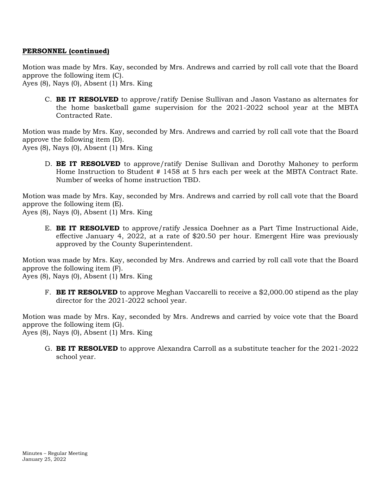## **PERSONNEL (continued)**

Motion was made by Mrs. Kay, seconded by Mrs. Andrews and carried by roll call vote that the Board approve the following item (C).

Ayes (8), Nays (0), Absent (1) Mrs. King

C. **BE IT RESOLVED** to approve/ratify Denise Sullivan and Jason Vastano as alternates for the home basketball game supervision for the 2021-2022 school year at the MBTA Contracted Rate.

Motion was made by Mrs. Kay, seconded by Mrs. Andrews and carried by roll call vote that the Board approve the following item (D).

Ayes (8), Nays (0), Absent (1) Mrs. King

D. **BE IT RESOLVED** to approve/ratify Denise Sullivan and Dorothy Mahoney to perform Home Instruction to Student # 1458 at 5 hrs each per week at the MBTA Contract Rate. Number of weeks of home instruction TBD.

Motion was made by Mrs. Kay, seconded by Mrs. Andrews and carried by roll call vote that the Board approve the following item (E). Ayes (8), Nays (0), Absent (1) Mrs. King

E. **BE IT RESOLVED** to approve/ratify Jessica Doehner as a Part Time Instructional Aide, effective January 4, 2022, at a rate of \$20.50 per hour. Emergent Hire was previously approved by the County Superintendent.

Motion was made by Mrs. Kay, seconded by Mrs. Andrews and carried by roll call vote that the Board approve the following item (F). Ayes (8), Nays (0), Absent (1) Mrs. King

F. **BE IT RESOLVED** to approve Meghan Vaccarelli to receive a \$2,000.00 stipend as the play director for the 2021-2022 school year.

Motion was made by Mrs. Kay, seconded by Mrs. Andrews and carried by voice vote that the Board approve the following item (G). Ayes (8), Nays (0), Absent (1) Mrs. King

G. **BE IT RESOLVED** to approve Alexandra Carroll as a substitute teacher for the 2021-2022 school year.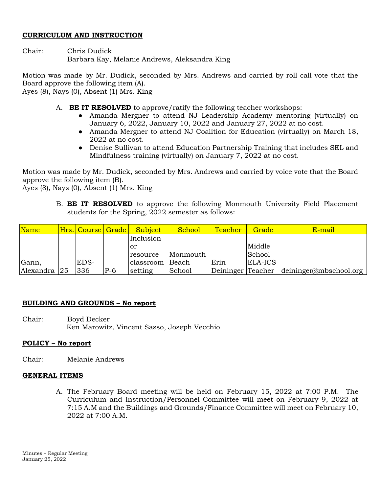#### **CURRICULUM AND INSTRUCTION**

Chair: Chris Dudick Barbara Kay, Melanie Andrews, Aleksandra King

Motion was made by Mr. Dudick, seconded by Mrs. Andrews and carried by roll call vote that the Board approve the following item (A).

Ayes (8), Nays (0), Absent (1) Mrs. King

- A. **BE IT RESOLVED** to approve/ratify the following teacher workshops:
	- Amanda Mergner to attend NJ Leadership Academy mentoring (virtually) on January 6, 2022, January 10, 2022 and January 27, 2022 at no cost.
	- Amanda Mergner to attend NJ Coalition for Education (virtually) on March 18, 2022 at no cost.
	- Denise Sullivan to attend Education Partnership Training that includes SEL and Mindfulness training (virtually) on January 7, 2022 at no cost.

Motion was made by Mr. Dudick, seconded by Mrs. Andrews and carried by voice vote that the Board approve the following item (B).

Ayes (8), Nays (0), Absent (1) Mrs. King

B. **BE IT RESOLVED** to approve the following Monmouth University Field Placement students for the Spring, 2022 semester as follows:

| Name      |    | Hrs. Course Grade |       | <b>Subject</b>  | School   | <b>Teacher</b>    | Grade   | E-mail                        |
|-----------|----|-------------------|-------|-----------------|----------|-------------------|---------|-------------------------------|
|           |    |                   |       | Inclusion       |          |                   |         |                               |
|           |    |                   |       | <sup>or</sup>   |          |                   | Middle  |                               |
|           |    |                   |       | resource        | Monmouth |                   | School  |                               |
| Gann,     |    | EDS-              |       | classroom Beach |          | Erin              | ELA-ICS |                               |
| Alexandra | 25 | 336               | $P-6$ | setting         | School   | Deininger Teacher |         | $\det$ deininger@mbschool.org |

## **BUILDING AND GROUNDS – No report**

Chair: Boyd Decker Ken Marowitz, Vincent Sasso, Joseph Vecchio

## **POLICY – No report**

Chair: Melanie Andrews

## **GENERAL ITEMS**

A. The February Board meeting will be held on February 15, 2022 at 7:00 P.M. The Curriculum and Instruction/Personnel Committee will meet on February 9, 2022 at 7:15 A.M and the Buildings and Grounds/Finance Committee will meet on February 10, 2022 at 7:00 A.M.